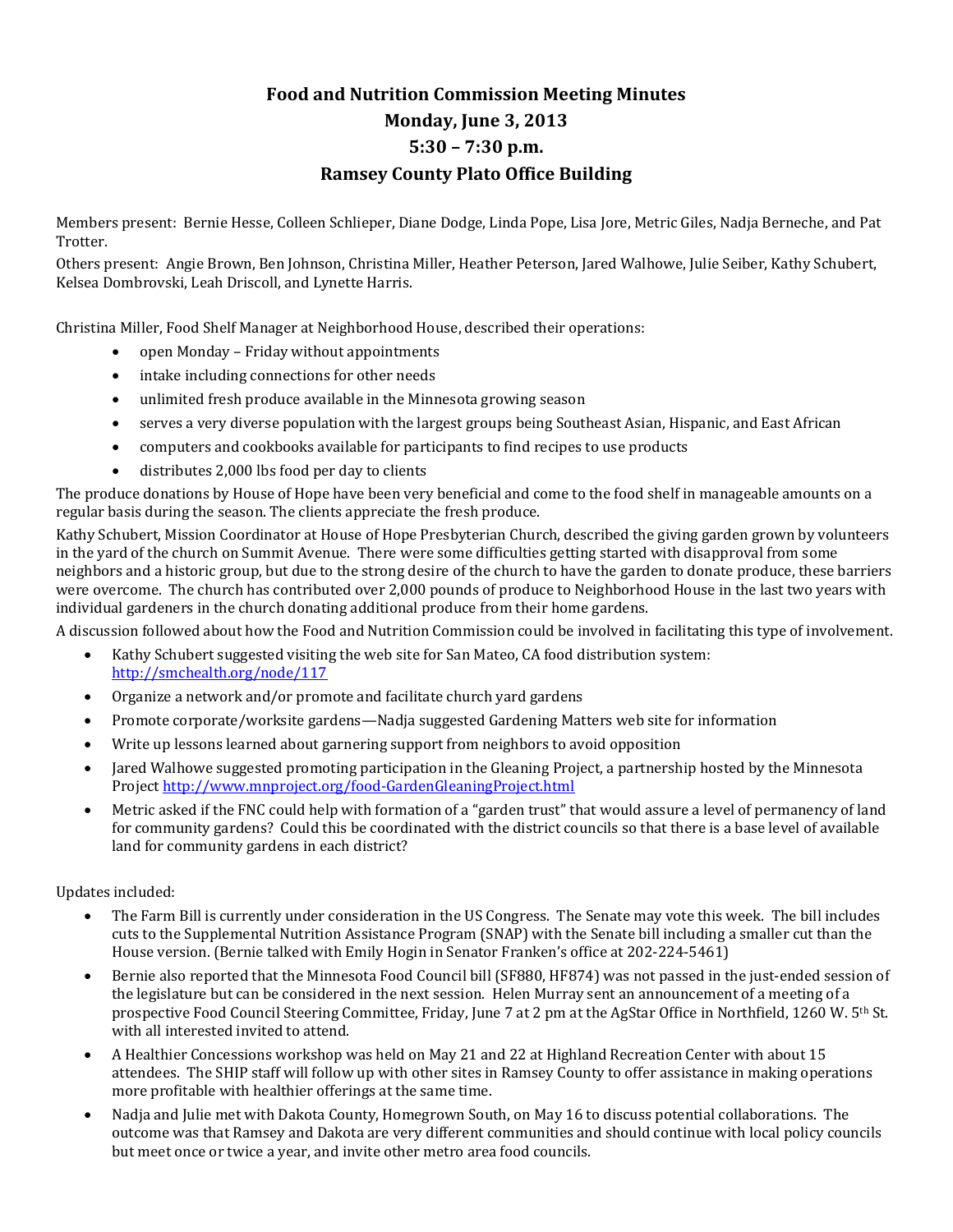## **Food and Nutrition Commission Meeting Minutes Monday, June 3, 2013 5:30 – 7:30 p.m. Ramsey County Plato Office Building**

Members present: Bernie Hesse, Colleen Schlieper, Diane Dodge, Linda Pope, Lisa Jore, Metric Giles, Nadja Berneche, and Pat Trotter.

Others present: Angie Brown, Ben Johnson, Christina Miller, Heather Peterson, Jared Walhowe, Julie Seiber, Kathy Schubert, Kelsea Dombrovski, Leah Driscoll, and Lynette Harris.

Christina Miller, Food Shelf Manager at Neighborhood House, described their operations:

- open Monday Friday without appointments
- intake including connections for other needs
- unlimited fresh produce available in the Minnesota growing season
- serves a very diverse population with the largest groups being Southeast Asian, Hispanic, and East African
- computers and cookbooks available for participants to find recipes to use products
- distributes 2,000 lbs food per day to clients

The produce donations by House of Hope have been very beneficial and come to the food shelf in manageable amounts on a regular basis during the season. The clients appreciate the fresh produce.

Kathy Schubert, Mission Coordinator at House of Hope Presbyterian Church, described the giving garden grown by volunteers in the yard of the church on Summit Avenue. There were some difficulties getting started with disapproval from some neighbors and a historic group, but due to the strong desire of the church to have the garden to donate produce, these barriers were overcome. The church has contributed over 2,000 pounds of produce to Neighborhood House in the last two years with individual gardeners in the church donating additional produce from their home gardens.

A discussion followed about how the Food and Nutrition Commission could be involved in facilitating this type of involvement.

- Kathy Schubert suggested visiting the web site for San Mateo, CA food distribution system: <http://smchealth.org/node/117>
- Organize a network and/or promote and facilitate church yard gardens
- Promote corporate/worksite gardens—Nadja suggested Gardening Matters web site for information
- Write up lessons learned about garnering support from neighbors to avoid opposition
- Jared Walhowe suggested promoting participation in the Gleaning Project, a partnership hosted by the Minnesota Projec[t http://www.mnproject.org/food-GardenGleaningProject.html](http://www.mnproject.org/food-GardenGleaningProject.html)
- Metric asked if the FNC could help with formation of a "garden trust" that would assure a level of permanency of land for community gardens? Could this be coordinated with the district councils so that there is a base level of available land for community gardens in each district?

Updates included:

- The Farm Bill is currently under consideration in the US Congress. The Senate may vote this week. The bill includes cuts to the Supplemental Nutrition Assistance Program (SNAP) with the Senate bill including a smaller cut than the House version. (Bernie talked with Emily Hogin in Senator Franken's office at 202-224-5461)
- Bernie also reported that the Minnesota Food Council bill (SF880, HF874) was not passed in the just-ended session of the legislature but can be considered in the next session. Helen Murray sent an announcement of a meeting of a prospective Food Council Steering Committee, Friday, June 7 at 2 pm at the AgStar Office in Northfield, 1260 W. 5th St. with all interested invited to attend.
- A Healthier Concessions workshop was held on May 21 and 22 at Highland Recreation Center with about 15 attendees. The SHIP staff will follow up with other sites in Ramsey County to offer assistance in making operations more profitable with healthier offerings at the same time.
- Nadja and Julie met with Dakota County, Homegrown South, on May 16 to discuss potential collaborations. The outcome was that Ramsey and Dakota are very different communities and should continue with local policy councils but meet once or twice a year, and invite other metro area food councils.